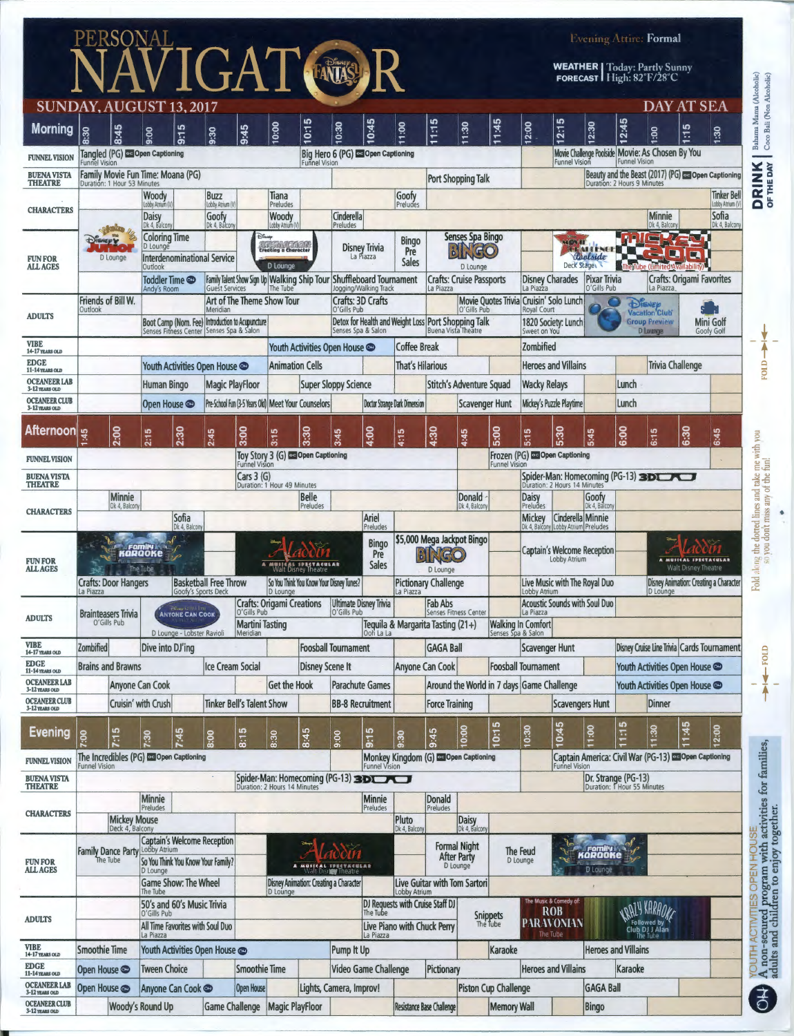|                                        |                                                                                              |                                                                                                 |                                                                 |                                                     |                                                                                  |                                                                 |                                          |                                                                           |                                                        |                                              |                                                                                                           |                                                                 |                                                                           |                                                          |                                                    |                                                                                       | <b>Evening Attire: Formal</b>                                                                                                |                  |                                                     |                                                      |
|----------------------------------------|----------------------------------------------------------------------------------------------|-------------------------------------------------------------------------------------------------|-----------------------------------------------------------------|-----------------------------------------------------|----------------------------------------------------------------------------------|-----------------------------------------------------------------|------------------------------------------|---------------------------------------------------------------------------|--------------------------------------------------------|----------------------------------------------|-----------------------------------------------------------------------------------------------------------|-----------------------------------------------------------------|---------------------------------------------------------------------------|----------------------------------------------------------|----------------------------------------------------|---------------------------------------------------------------------------------------|------------------------------------------------------------------------------------------------------------------------------|------------------|-----------------------------------------------------|------------------------------------------------------|
|                                        | PERSONAL<br>NAVIGAT (AUS) R                                                                  |                                                                                                 |                                                                 |                                                     |                                                                                  |                                                                 |                                          |                                                                           |                                                        |                                              |                                                                                                           |                                                                 |                                                                           |                                                          |                                                    |                                                                                       | <b>WEATHER</b>   Today: Partly Sunny<br>FORECAST High: 82°F/28°C                                                             |                  |                                                     |                                                      |
|                                        | SUNDAY, AUGUST 13, 2017                                                                      |                                                                                                 |                                                                 |                                                     |                                                                                  |                                                                 |                                          |                                                                           |                                                        |                                              |                                                                                                           |                                                                 |                                                                           |                                                          |                                                    |                                                                                       | <b>DAY AT SEA</b>                                                                                                            |                  |                                                     |                                                      |
| <b>Morning</b>                         | 8:45<br>8:30                                                                                 | 5<br>9:00<br>$\overline{5}$                                                                     | 9:30                                                            | 9:45                                                | 0:00                                                                             | S<br>$\overline{c}$                                             | 10:30                                    | 0:45                                                                      | 11:00                                                  | s<br>τ,<br>↽                                 | 1:30                                                                                                      | 1:45                                                            | 12:00                                                                     | S<br>2:1                                                 | 12:30                                              | 2:45                                                                                  | 1:00                                                                                                                         | စ<br>τ.          | 1:30                                                | Bahama Mama (Alcoholic)<br>Coco Bali (Non Alcoholic) |
| <b>FUNNEL VISION</b>                   | Tangled (PG) Co Open Captioning<br><b>Funnel Vision</b>                                      |                                                                                                 |                                                                 |                                                     |                                                                                  | <b>Funnel Vision</b>                                            |                                          | Big Hero 6 (PG) Co Open Captioning                                        |                                                        |                                              |                                                                                                           |                                                                 |                                                                           | <b>Funnel Vision</b>                                     |                                                    | <b>Funnel Vision</b>                                                                  | Movie Challenge Poolside Movie: As Chosen By You                                                                             |                  |                                                     |                                                      |
| <b>BUENA VISTA</b><br><b>THEATRE</b>   | Family Movie Fun Time: Moana (PG)<br>Duration: 1 Hour 53 Minutes                             |                                                                                                 |                                                                 |                                                     |                                                                                  |                                                                 |                                          |                                                                           |                                                        |                                              | Port Shopping Talk                                                                                        |                                                                 |                                                                           |                                                          |                                                    | Duration: 2 Hours 9 Minutes                                                           |                                                                                                                              |                  | Beauty and the Beast (2017) (PG) as Open Captioning | <b>DRINK</b>                                         |
|                                        |                                                                                              | Woody<br>Lobby Atrium                                                                           | <b>Buzz</b><br>Lobby Atrium (V                                  |                                                     | Tiana<br>Preludes                                                                |                                                                 |                                          |                                                                           | Goofy<br>Preludes                                      |                                              |                                                                                                           |                                                                 |                                                                           |                                                          |                                                    |                                                                                       |                                                                                                                              |                  | <b>Tinker Bell</b><br>Lobby Atrium (\               |                                                      |
| <b>CHARACTERS</b>                      |                                                                                              | Daisy<br>Dk 4, Balcon                                                                           | Goofy<br>Dk 4, Balcon                                           |                                                     | Woody<br>Lobby Atrium (V                                                         |                                                                 | Cinderella<br>Preludes                   |                                                                           |                                                        |                                              |                                                                                                           |                                                                 |                                                                           |                                                          |                                                    |                                                                                       | <b>Minnie</b><br>Dk 4, Balcon                                                                                                |                  | Sofia<br>Dk 4, Balcony                              |                                                      |
| <b>FUN FOR</b><br><b>ALL AGES</b>      | D Lounge                                                                                     | Coloring Time<br>D Lounge<br><b>Interdenominational Service</b><br>Outlook                      | Disney                                                          |                                                     | .<br>Creating a Character<br>D Lounge                                            |                                                                 |                                          | <b>Disney Trivia</b><br>La Piazza                                         |                                                        | Senses Spa Bingo<br>D Lounge                 |                                                                                                           |                                                                 |                                                                           | <b>CRIT</b><br>Deck Stage                                | Roclaide<br>The Tube (Limited Availability         |                                                                                       |                                                                                                                              |                  |                                                     |                                                      |
|                                        |                                                                                              | Toddler Time <b>o</b><br>Andy's Room                                                            | <b>Guest Services</b>                                           |                                                     | Family Talent Show Sign Up Walking Ship Tour Shuffleboard Tournament<br>The Tube |                                                                 |                                          | Jogging/Walking Track                                                     |                                                        | <b>Crafts: Cruise Passports</b><br>La Piazza |                                                                                                           |                                                                 | <b>Disney Charades</b><br><b>Pixar Trivia</b><br>La Piazza<br>O'Gills Pub |                                                          | <b>Crafts: Origami Favorites</b><br>La Piazza      |                                                                                       |                                                                                                                              |                  |                                                     |                                                      |
|                                        | Friends of Bill W.<br>Outlook<br>Meridian                                                    |                                                                                                 |                                                                 | Art of The Theme Show Tour<br>O'Gills Pub           |                                                                                  |                                                                 | <b>Crafts: 3D Crafts</b>                 |                                                                           | Movie Quotes Trivia Cruisin' Solo Lunch<br>O'Gills Pub |                                              |                                                                                                           | Royal Court                                                     | <b>DISNED</b><br>Vacation <sup>'</sup> Club'                              |                                                          |                                                    |                                                                                       |                                                                                                                              |                  |                                                     |                                                      |
| <b>ADULTS</b>                          | Boot Camp (Nom. Fee) Introduction to Acupuncture<br>Senses Fitness Center Senses Spa & Salon |                                                                                                 |                                                                 |                                                     |                                                                                  |                                                                 |                                          | Detox for Health and Weight Loss Port Shopping Talk<br>Senses Spa & Salon |                                                        | <b>Buena Vista Theatre</b>                   |                                                                                                           | 1820 Society: Lunch<br>Sweet on You                             |                                                                           |                                                          |                                                    | <b>Group Preview</b><br>Mini Golf<br><b>D</b> Lounge<br>Goofy Golf                    |                                                                                                                              |                  |                                                     |                                                      |
| <b>VIBE</b><br>14-17 YEARS OLD         |                                                                                              |                                                                                                 |                                                                 |                                                     |                                                                                  |                                                                 | Youth Activities Open House              |                                                                           | <b>Coffee Break</b>                                    |                                              |                                                                                                           |                                                                 | Zombified                                                                 |                                                          |                                                    |                                                                                       |                                                                                                                              |                  |                                                     | Ā                                                    |
| <b>EDGE</b><br>11-14 YEARS OLD         |                                                                                              | Youth Activities Open House                                                                     |                                                                 |                                                     |                                                                                  | <b>Animation Cells</b>                                          |                                          |                                                                           | <b>That's Hilarious</b>                                |                                              |                                                                                                           |                                                                 |                                                                           | <b>Heroes and Villains</b>                               |                                                    |                                                                                       |                                                                                                                              | Trivia Challenge |                                                     | FOID-                                                |
| <b>OCEANEER LAB</b><br>3-12 YEARS OLD  |                                                                                              | <b>Human Bingo</b>                                                                              | <b>Magic PlayFloor</b>                                          |                                                     |                                                                                  |                                                                 | <b>Super Sloppy Science</b>              |                                                                           |                                                        |                                              | Stitch's Adventure Squad                                                                                  |                                                                 |                                                                           | <b>Wacky Relays</b>                                      |                                                    | Lunch                                                                                 |                                                                                                                              |                  |                                                     |                                                      |
| <b>OCEANEER CLUB</b><br>3-12 YEARS OLD |                                                                                              | Open House                                                                                      |                                                                 | Pre-School Fun (3-5 Years Old) Meet Your Counselors |                                                                                  |                                                                 |                                          |                                                                           | <b>Doctor Strange Dark Dimension</b>                   |                                              | <b>Scavenger Hunt</b>                                                                                     |                                                                 |                                                                           | Mickey's Puzzle Playtime                                 |                                                    | Lunch                                                                                 |                                                                                                                              |                  |                                                     |                                                      |
| <b>Afternoon</b>                       | 2:00<br>45                                                                                   | 2:30<br>2:15                                                                                    | 2:45                                                            | 3:00                                                | 3:15                                                                             | 3:30                                                            | 3:45                                     | 4:00                                                                      | 4:15                                                   | 4:30                                         | 4:45                                                                                                      | 5:00                                                            | 5:15                                                                      | 5:30                                                     | 5:45                                               | 6:00                                                                                  | 6:15                                                                                                                         | 6:30             | 6:45                                                |                                                      |
| <b>FUNNEL VISION</b>                   |                                                                                              |                                                                                                 |                                                                 | <b>Funnel Vision</b>                                |                                                                                  | Toy Story 3 (G) Co Open Captioning                              |                                          |                                                                           |                                                        |                                              |                                                                                                           | <b>Funnel Vision</b>                                            |                                                                           | Frozen (PG) co Open Captioning                           |                                                    |                                                                                       |                                                                                                                              |                  |                                                     |                                                      |
| <b>BUENA VISTA</b><br><b>THEATRE</b>   |                                                                                              |                                                                                                 |                                                                 | Cars $3(G)$<br>Duration: 1 Hour 49 Minutes          |                                                                                  |                                                                 |                                          |                                                                           |                                                        |                                              |                                                                                                           |                                                                 |                                                                           | Spider-Man: Homecoming (PG-13) 3DLA                      |                                                    |                                                                                       |                                                                                                                              |                  |                                                     |                                                      |
|                                        | <b>Minnie</b><br>Dk 4, Balcon                                                                |                                                                                                 |                                                                 |                                                     |                                                                                  | Belle<br>Preludes                                               |                                          |                                                                           |                                                        |                                              | Donald<br>Dk 4, Balcon                                                                                    |                                                                 | Daisy<br>Preludes                                                         |                                                          | Goofy<br>Dk 4, Balcon                              |                                                                                       |                                                                                                                              |                  |                                                     |                                                      |
| <b>CHARACTERS</b>                      |                                                                                              | Sofia<br>Dk 4, Balcon                                                                           |                                                                 |                                                     |                                                                                  |                                                                 |                                          | Ariel<br>Preludes                                                         |                                                        |                                              |                                                                                                           |                                                                 | Mickey                                                                    | Cinderella Minnie<br>Dk 4, Balcony Lobby Atrium Preludes |                                                    |                                                                                       |                                                                                                                              |                  |                                                     |                                                      |
| <b>FUN FOR</b><br><b>ALL AGES</b>      | <b>Family</b><br>KORQOKE<br>The Tube                                                         | MUSICAL SPECTACULAR<br><b>Basketball Free Throw</b><br>So You Think You Know Your Disney Tunes? |                                                                 |                                                     | <b>Bingo</b><br>Pre<br><b>Sales</b>                                              | \$5,000 Mega Jackpot Bingo<br><b>IGO</b><br>D Lounge            |                                          |                                                                           |                                                        |                                              | <b>Captain's Welcome Reception</b><br>Lobby Atrium<br>A MUSICAL SPECTACULAR<br><b>Walt Disney Theatre</b> |                                                                 |                                                                           |                                                          |                                                    | Fold along the dotted lines and take me with you<br>so you don't miss any of the fun! |                                                                                                                              |                  |                                                     |                                                      |
|                                        | <b>Crafts: Door Hangers</b>                                                                  |                                                                                                 |                                                                 |                                                     | <b>Pictionary Challenge</b>                                                      |                                                                 |                                          | Live Music with The Royal Duo                                             |                                                        |                                              |                                                                                                           |                                                                 |                                                                           | Disney Animation: Creating a Character                   |                                                    |                                                                                       |                                                                                                                              |                  |                                                     |                                                      |
|                                        | La Piazza<br>Goofy's Sports Deck                                                             |                                                                                                 |                                                                 |                                                     | D Lounge<br><b>Crafts: Origami Creations</b>                                     |                                                                 |                                          | <b>Ultimate Disney Trivia</b>                                             | La Piazza<br>Fab Abs                                   |                                              |                                                                                                           | Lobby Atrium<br><b>Acoustic Sounds with Soul Duo</b>            |                                                                           |                                                          | D Lounge                                           |                                                                                       |                                                                                                                              |                  |                                                     |                                                      |
| <b>ADULTS</b>                          | ANYONE CAN COOK<br><b>Brainteasers Trivia</b><br>O'Gills Pub<br>D Lounge - Lobster Ravioli   |                                                                                                 |                                                                 |                                                     | O'Gills Pub<br>O'Gills Pub<br><b>Martini Tasting</b>                             |                                                                 |                                          |                                                                           | Tequila & Margarita Tasting (21+)                      |                                              |                                                                                                           | Senses Fitness Center<br>La Piazza<br><b>Walking In Comfort</b> |                                                                           |                                                          |                                                    |                                                                                       |                                                                                                                              |                  |                                                     |                                                      |
| VIBE<br>14-17 years old                | <b>Zombified</b>                                                                             | Dive into DJ'ing                                                                                |                                                                 | Meridian                                            |                                                                                  |                                                                 | <b>Foosball Tournament</b>               |                                                                           |                                                        | <b>GAGA Ball</b>                             |                                                                                                           |                                                                 | <b>Scavenger Hunt</b>                                                     |                                                          |                                                    |                                                                                       |                                                                                                                              |                  | Disney Cruise Line Trivia Cards Tournament          |                                                      |
| <b>EDGE</b><br>11-14 YEARS OLD         | <b>Brains and Brawns</b>                                                                     | <b>Ice Cream Social</b>                                                                         |                                                                 |                                                     |                                                                                  | <b>Disney Scene It</b>                                          |                                          |                                                                           |                                                        | Anyone Can Cook                              |                                                                                                           |                                                                 |                                                                           | <b>Foosball Tournament</b>                               |                                                    | Youth Activities Open House                                                           |                                                                                                                              |                  |                                                     |                                                      |
| <b>OCEANEER LAB</b><br>3-12 YEARS OLD  |                                                                                              | Anyone Can Cook                                                                                 |                                                                 |                                                     | <b>Get the Hook</b>                                                              |                                                                 |                                          | <b>Parachute Games</b>                                                    |                                                        |                                              | Around the World in 7 days Game Challenge                                                                 |                                                                 |                                                                           |                                                          |                                                    | Youth Activities Open House                                                           |                                                                                                                              |                  |                                                     | $+4$                                                 |
| <b>OCEANEER CLUB</b><br>3-12 YEARS OLD |                                                                                              | Cruisin' with Crush                                                                             |                                                                 | <b>Tinker Bell's Talent Show</b>                    |                                                                                  |                                                                 |                                          | <b>BB-8 Recruitment</b>                                                   |                                                        | <b>Force Training</b>                        |                                                                                                           |                                                                 |                                                                           | <b>Scavengers Hunt</b>                                   |                                                    |                                                                                       | Dinner                                                                                                                       |                  |                                                     |                                                      |
| <b>Evening</b>                         | 7:15<br>7:00                                                                                 | $-45$<br>7:30                                                                                   | 8:00                                                            | 8:15                                                | 8:30                                                                             | 8:45                                                            | 9:00                                     | 9:15                                                                      | 9:30                                                   | 9:45                                         | 0:00                                                                                                      | 0:15                                                            | 10:30                                                                     | 0:45                                                     | 11:00                                              | S<br>$\overline{\mathbb{Z}}$                                                          | 11:30                                                                                                                        | 1:45             | 2:00                                                |                                                      |
| <b>FUNNEL VISION</b>                   | The Incredibles (PG) and Open Captioning<br><b>Funnel Vision</b>                             |                                                                                                 |                                                                 |                                                     |                                                                                  |                                                                 |                                          | <b>Funnel Vision</b>                                                      |                                                        | Monkey Kingdom (G) Co Open Captioning        |                                                                                                           |                                                                 |                                                                           | <b>Funnel Vision</b>                                     |                                                    |                                                                                       | Captain America: Civil War (PG-13) Copen Captioning                                                                          |                  |                                                     |                                                      |
| <b>BUENA VISTA</b><br><b>THEATRE</b>   |                                                                                              |                                                                                                 |                                                                 |                                                     |                                                                                  |                                                                 |                                          |                                                                           |                                                        |                                              |                                                                                                           |                                                                 |                                                                           |                                                          | Dr. Strange (PG-13)<br>Duration: 1 Hour 55 Minutes |                                                                                       |                                                                                                                              |                  |                                                     |                                                      |
| <b>CHARACTERS</b>                      |                                                                                              | Spider-Man: Homecoming (PG-13) 3DUNI                                                            |                                                                 |                                                     |                                                                                  | Minnie<br>Preludes                                              |                                          | Donald                                                                    |                                                        |                                              |                                                                                                           |                                                                 |                                                                           |                                                          |                                                    |                                                                                       |                                                                                                                              |                  |                                                     |                                                      |
|                                        | <b>Mickey Mouse</b>                                                                          |                                                                                                 |                                                                 |                                                     |                                                                                  |                                                                 | Pluto                                    | Preludes                                                                  | Daisy<br>Dk 4, Balcony                                 |                                              |                                                                                                           |                                                                 |                                                                           |                                                          |                                                    |                                                                                       |                                                                                                                              |                  |                                                     |                                                      |
| <b>FUN FOR</b><br><b>ALL AGES</b>      | Deck 4, Balcony                                                                              | <b>Captain's Welcome Reception</b>                                                              |                                                                 |                                                     |                                                                                  |                                                                 |                                          | Dk 4, Balcony                                                             | <b>Formal Night</b>                                    |                                              |                                                                                                           |                                                                 |                                                                           |                                                          |                                                    |                                                                                       |                                                                                                                              |                  |                                                     |                                                      |
|                                        | <b>Family Dance Party</b><br>The Tube                                                        | Lobby Atrium<br>So You Think You Know Your Family?                                              |                                                                 |                                                     |                                                                                  |                                                                 |                                          | <b>After Party</b>                                                        |                                                        | The Feud                                     |                                                                                                           | <b>Fomily</b><br>KaRaoKe<br>D Lounge                            |                                                                           |                                                          |                                                    |                                                                                       |                                                                                                                              |                  |                                                     |                                                      |
|                                        |                                                                                              |                                                                                                 | A MUSICAL SPECTACULAR<br>Disney Animation: Creating a Character |                                                     |                                                                                  |                                                                 | D Lounge<br>Live Guitar with Tom Sartori |                                                                           |                                                        |                                              | <b>D</b> Lounge                                                                                           |                                                                 |                                                                           |                                                          |                                                    |                                                                                       |                                                                                                                              |                  |                                                     |                                                      |
|                                        |                                                                                              | <b>Game Show: The Wheel</b><br>The Tube                                                         | D Lounge                                                        |                                                     |                                                                                  |                                                                 |                                          | Lobby Atrium                                                              |                                                        |                                              |                                                                                                           | The Music & Comedy of:                                          |                                                                           |                                                          |                                                    |                                                                                       |                                                                                                                              |                  |                                                     |                                                      |
| <b>ADULTS</b>                          | 50's and 60's Music Trivia<br>O'Gills Pub<br>All Time Favorites with Soul Duo<br>La Piazza   |                                                                                                 | The Tube<br>La Piazza                                           |                                                     |                                                                                  | DJ Requests with Cruise Staff DJ<br>Live Piano with Chuck Perry |                                          |                                                                           | Snippets<br>The Tube                                   |                                              | <b>ROB</b><br><b>PARAVONIAN</b><br>The Tube                                                               |                                                                 | <b>URAZY KARAOKE</b><br>Followed by                                       |                                                          |                                                    |                                                                                       | A non-secured program with activities for families,<br>adults and children to enjoy together.<br>YOUTH ACTIVITIES OPEN HOUSE |                  |                                                     |                                                      |
| <b>VIBE</b><br>14-17 YEARS OLD         | <b>Smoothie Time</b>                                                                         | Youth Activities Open House                                                                     |                                                                 |                                                     |                                                                                  |                                                                 | Pump It Up                               |                                                                           |                                                        |                                              |                                                                                                           | Karaoke                                                         |                                                                           |                                                          | <b>Heroes and Villains</b>                         |                                                                                       |                                                                                                                              |                  |                                                     |                                                      |
| <b>EDGE</b><br>11-14 YEARS OLD         | Open House                                                                                   | <b>Tween Choice</b>                                                                             |                                                                 | <b>Smoothie Time</b>                                |                                                                                  |                                                                 |                                          | Video Game Challenge                                                      |                                                        | Pictionary                                   |                                                                                                           |                                                                 |                                                                           | <b>Heroes and Villains</b>                               |                                                    | Karaoke                                                                               |                                                                                                                              |                  |                                                     |                                                      |
| <b>OCEANEER LAB</b><br>3-12 YEARS OLD  | Open House                                                                                   | Anyone Can Cook                                                                                 |                                                                 | Open House                                          |                                                                                  |                                                                 | Lights, Camera, Improv!                  |                                                                           |                                                        |                                              |                                                                                                           | <b>Piston Cup Challenge</b>                                     |                                                                           |                                                          | <b>GAGA Ball</b>                                   |                                                                                       |                                                                                                                              |                  |                                                     |                                                      |
| <b>OCEANEER CLUB</b><br>3-12 YEARS OLD |                                                                                              | Woody's Round Up                                                                                | <b>Game Challenge</b>                                           |                                                     | <b>Magic PlayFloor</b>                                                           |                                                                 |                                          |                                                                           |                                                        | <b>Resistance Base Challenge</b>             |                                                                                                           | <b>Memory Wall</b>                                              |                                                                           |                                                          | <b>Bingo</b>                                       |                                                                                       |                                                                                                                              |                  |                                                     | $\overline{a}$                                       |

 $\bullet$ 

A non-secured program with activities<br>adults and children to enjoy together.